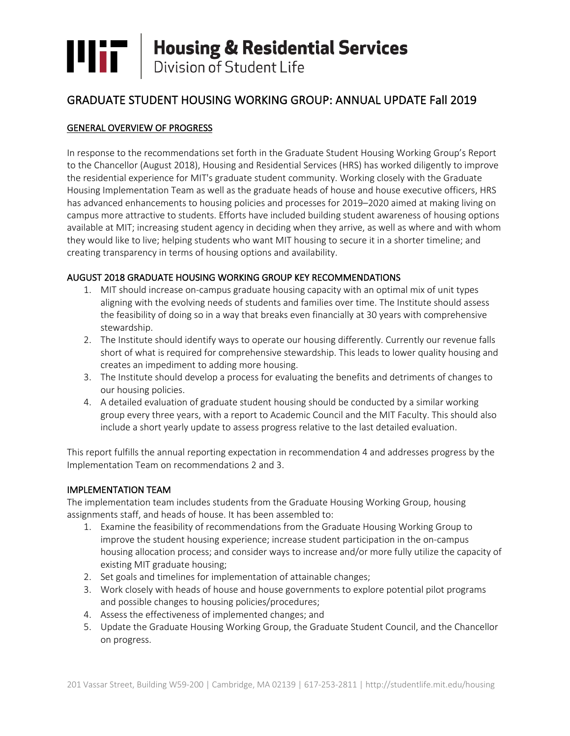# **THE Housing & Residential Services**<br>Division of Student Life

# GRADUATE STUDENT HOUSING WORKING GROUP: ANNUAL UPDATE Fall 2019

# GENERAL OVERVIEW OF PROGRESS

In response to the recommendations set forth in the Graduate Student Housing Working Group's Report to the Chancellor (August 2018), Housing and Residential Services (HRS) has worked diligently to improve the residential experience for MIT's graduate student community. Working closely with the Graduate Housing Implementation Team as well as the graduate heads of house and house executive officers, HRS has advanced enhancements to housing policies and processes for 2019–2020 aimed at making living on campus more attractive to students. Efforts have included building student awareness of housing options available at MIT; increasing student agency in deciding when they arrive, as well as where and with whom they would like to live; helping students who want MIT housing to secure it in a shorter timeline; and creating transparency in terms of housing options and availability.

#### AUGUST 2018 GRADUATE HOUSING WORKING GROUP KEY RECOMMENDATIONS

- 1. MIT should increase on-campus graduate housing capacity with an optimal mix of unit types aligning with the evolving needs of students and families over time. The Institute should assess the feasibility of doing so in a way that breaks even financially at 30 years with comprehensive stewardship.
- 2. The Institute should identify ways to operate our housing differently. Currently our revenue falls short of what is required for comprehensive stewardship. This leads to lower quality housing and creates an impediment to adding more housing.
- 3. The Institute should develop a process for evaluating the benefits and detriments of changes to our housing policies.
- 4. A detailed evaluation of graduate student housing should be conducted by a similar working group every three years, with a report to Academic Council and the MIT Faculty. This should also include a short yearly update to assess progress relative to the last detailed evaluation.

This report fulfills the annual reporting expectation in recommendation 4 and addresses progress by the Implementation Team on recommendations 2 and 3.

#### IMPLEMENTATION TEAM

The implementation team includes students from the Graduate Housing Working Group, housing assignments staff, and heads of house. It has been assembled to:

- 1. Examine the feasibility of recommendations from the Graduate Housing Working Group to improve the student housing experience; increase student participation in the on-campus housing allocation process; and consider ways to increase and/or more fully utilize the capacity of existing MIT graduate housing;
- 2. Set goals and timelines for implementation of attainable changes;
- 3. Work closely with heads of house and house governments to explore potential pilot programs and possible changes to housing policies/procedures;
- 4. Assess the effectiveness of implemented changes; and
- 5. Update the Graduate Housing Working Group, the Graduate Student Council, and the Chancellor on progress.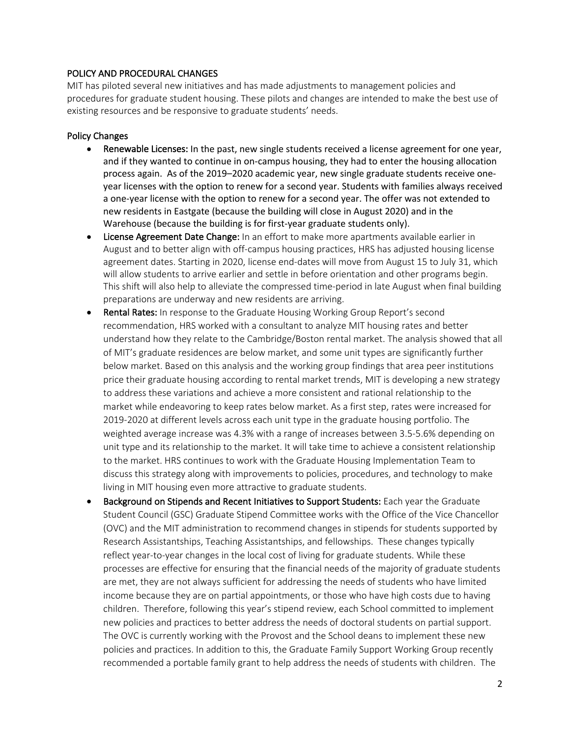#### POLICY AND PROCEDURAL CHANGES

MIT has piloted several new initiatives and has made adjustments to management policies and procedures for graduate student housing. These pilots and changes are intended to make the best use of existing resources and be responsive to graduate students' needs.

#### Policy Changes

- Renewable Licenses: In the past, new single students received a license agreement for one year, and if they wanted to continue in on-campus housing, they had to enter the housing allocation process again. As of the 2019–2020 academic year, new single graduate students receive oneyear licenses with the option to renew for a second year. Students with families always received a one-year license with the option to renew for a second year. The offer was not extended to new residents in Eastgate (because the building will close in August 2020) and in the Warehouse (because the building is for first-year graduate students only).
- License Agreement Date Change: In an effort to make more apartments available earlier in August and to better align with off-campus housing practices, HRS has adjusted housing license agreement dates. Starting in 2020, license end-dates will move from August 15 to July 31, which will allow students to arrive earlier and settle in before orientation and other programs begin. This shift will also help to alleviate the compressed time-period in late August when final building preparations are underway and new residents are arriving.
- Rental Rates: In response to the Graduate Housing Working Group Report's second recommendation, HRS worked with a consultant to analyze MIT housing rates and better understand how they relate to the Cambridge/Boston rental market. The analysis showed that all of MIT's graduate residences are below market, and some unit types are significantly further below market. Based on this analysis and the working group findings that area peer institutions price their graduate housing according to rental market trends, MIT is developing a new strategy to address these variations and achieve a more consistent and rational relationship to the market while endeavoring to keep rates below market. As a first step, rates were increased for 2019-2020 at different levels across each unit type in the graduate housing portfolio. The weighted average increase was 4.3% with a range of increases between 3.5-5.6% depending on unit type and its relationship to the market. It will take time to achieve a consistent relationship to the market. HRS continues to work with the Graduate Housing Implementation Team to discuss this strategy along with improvements to policies, procedures, and technology to make living in MIT housing even more attractive to graduate students.
- Background on Stipends and Recent Initiatives to Support Students: Each year the Graduate Student Council (GSC) Graduate Stipend Committee works with the Office of the Vice Chancellor (OVC) and the MIT administration to recommend changes in stipends for students supported by Research Assistantships, Teaching Assistantships, and fellowships. These changes typically reflect year-to-year changes in the local cost of living for graduate students. While these processes are effective for ensuring that the financial needs of the majority of graduate students are met, they are not always sufficient for addressing the needs of students who have limited income because they are on partial appointments, or those who have high costs due to having children. Therefore, following this year's stipend review, each School committed to implement new policies and practices to better address the needs of doctoral students on partial support. The OVC is currently working with the Provost and the School deans to implement these new policies and practices. In addition to this, the Graduate Family Support Working Group recently recommended a portable family grant to help address the needs of students with children. The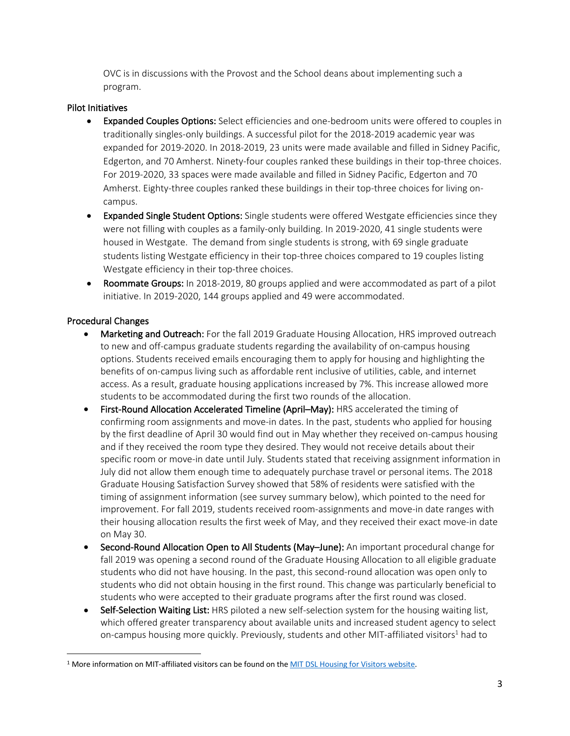OVC is in discussions with the Provost and the School deans about implementing such a program.

#### Pilot Initiatives

- Expanded Couples Options: Select efficiencies and one-bedroom units were offered to couples in traditionally singles-only buildings. A successful pilot for the 2018-2019 academic year was expanded for 2019-2020. In 2018-2019, 23 units were made available and filled in Sidney Pacific, Edgerton, and 70 Amherst. Ninety-four couples ranked these buildings in their top-three choices. For 2019-2020, 33 spaces were made available and filled in Sidney Pacific, Edgerton and 70 Amherst. Eighty-three couples ranked these buildings in their top-three choices for living oncampus.
- Expanded Single Student Options: Single students were offered Westgate efficiencies since they were not filling with couples as a family-only building. In 2019-2020, 41 single students were housed in Westgate. The demand from single students is strong, with 69 single graduate students listing Westgate efficiency in their top-three choices compared to 19 couples listing Westgate efficiency in their top-three choices.
- Roommate Groups: In 2018-2019, 80 groups applied and were accommodated as part of a pilot initiative. In 2019-2020, 144 groups applied and 49 were accommodated.

# Procedural Changes

- Marketing and Outreach: For the fall 2019 Graduate Housing Allocation, HRS improved outreach to new and off-campus graduate students regarding the availability of on-campus housing options. Students received emails encouraging them to apply for housing and highlighting the benefits of on-campus living such as affordable rent inclusive of utilities, cable, and internet access. As a result, graduate housing applications increased by 7%. This increase allowed more students to be accommodated during the first two rounds of the allocation.
- First-Round Allocation Accelerated Timeline (April–May): HRS accelerated the timing of confirming room assignments and move-in dates. In the past, students who applied for housing by the first deadline of April 30 would find out in May whether they received on-campus housing and if they received the room type they desired. They would not receive details about their specific room or move-in date until July. Students stated that receiving assignment information in July did not allow them enough time to adequately purchase travel or personal items. The 2018 Graduate Housing Satisfaction Survey showed that 58% of residents were satisfied with the timing of assignment information (see survey summary below), which pointed to the need for improvement. For fall 2019, students received room-assignments and move-in date ranges with their housing allocation results the first week of May, and they received their exact move-in date on May 30.
- Second-Round Allocation Open to All Students (May–June): An important procedural change for fall 2019 was opening a second round of the Graduate Housing Allocation to all eligible graduate students who did not have housing. In the past, this second-round allocation was open only to students who did not obtain housing in the first round. This change was particularly beneficial to students who were accepted to their graduate programs after the first round was closed.
- Self-Selection Waiting List: HRS piloted a new self-selection system for the housing waiting list, which offered greater transparency about available units and increased student agency to select on-campus housing more quickly. Previously, students and other MIT-affiliated visitors<sup>1</sup> had to

<sup>&</sup>lt;sup>1</sup> More information on MIT-affiliated visitors can be found on the MIT DSL Housing for Visitors website.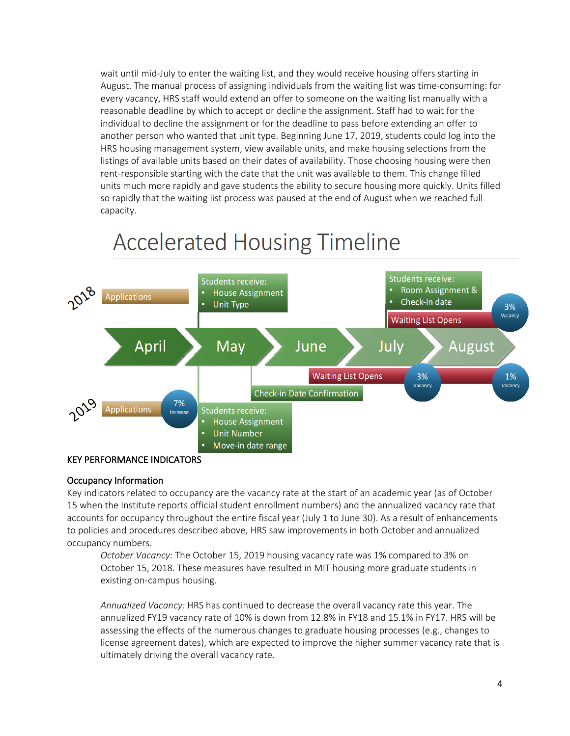wait until mid-July to enter the waiting list, and they would receive housing offers starting in August. The manual process of assigning individuals from the waiting list was time-consuming: for every vacancy, HRS staff would extend an offer to someone on the waiting list manually with a reasonable deadline by which to accept or decline the assignment. Staff had to wait for the individual to decline the assignment or for the deadline to pass before extending an offer to another person who wanted that unit type. Beginning June 17, 2019, students could log into the HRS housing management system, view available units, and make housing selections from the listings of available units based on their dates of availability. Those choosing housing were then rent-responsible starting with the date that the unit was available to them. This change filled units much more rapidly and gave students the ability to secure housing more quickly. Units filled so rapidly that the waiting list process was paused at the end of August when we reached full capacity.



# **Accelerated Housing Timeline**

#### KEY PERFORMANCE INDICATORS

#### Occupancy Information

Key indicators related to occupancy are the vacancy rate at the start of an academic year (as of October 15 when the Institute reports official student enrollment numbers) and the annualized vacancy rate that accounts for occupancy throughout the entire fiscal year (July 1 to June 30). As a result of enhancements to policies and procedures described above, HRS saw improvements in both October and annualized occupancy numbers.

*October Vacancy:* The October 15, 2019 housing vacancy rate was 1% compared to 3% on October 15, 2018. These measures have resulted in MIT housing more graduate students in existing on-campus housing.

*Annualized Vacancy:* HRS has continued to decrease the overall vacancy rate this year. The annualized FY19 vacancy rate of 10% is down from 12.8% in FY18 and 15.1% in FY17. HRS will be assessing the effects of the numerous changes to graduate housing processes (e.g., changes to license agreement dates), which are expected to improve the higher summer vacancy rate that is ultimately driving the overall vacancy rate.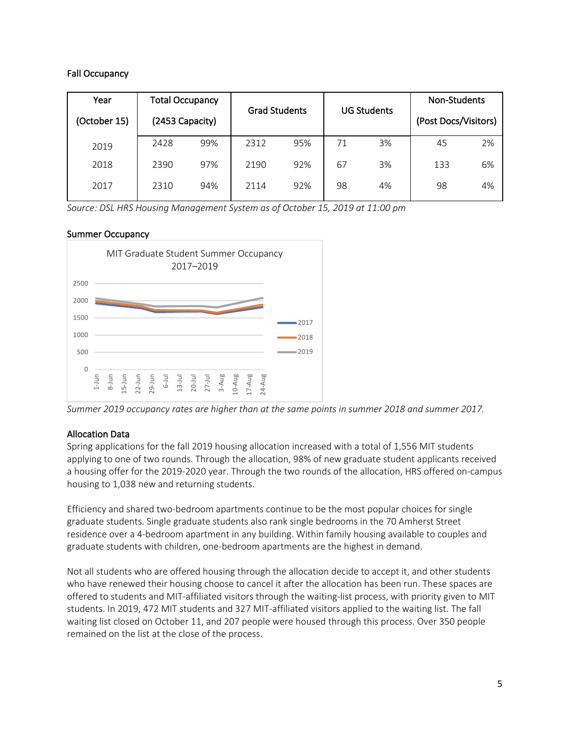# Fall Occupancy

| Year         | <b>Total Occupancy</b> |     | <b>Grad Students</b> |     | <b>UG Students</b> |    | <b>Non-Students</b>  |    |
|--------------|------------------------|-----|----------------------|-----|--------------------|----|----------------------|----|
| (October 15) | (2453 Capacity)        |     |                      |     |                    |    | (Post Docs/Visitors) |    |
| 2019         | 2428                   | 99% | 2312                 | 95% | 71                 | 3% | 45                   | 2% |
| 2018         | 2390                   | 97% | 2190                 | 92% | 67                 | 3% | 133                  | 6% |
| 2017         | 2310                   | 94% | 2114                 | 92% | 98                 | 4% | 98                   | 4% |

*Source: DSL HRS Housing Management System as of October 15, 2019 at 11:00 pm*

#### Summer Occupancy



*Summer 2019 occupancy rates are higher than at the same points in summer 2018 and summer 2017.*

# Allocation Data

Spring applications for the fall 2019 housing allocation increased with a total of 1,556 MIT students applying to one of two rounds. Through the allocation, 98% of new graduate student applicants received a housing offer for the 2019-2020 year. Through the two rounds of the allocation, HRS offered on-campus housing to 1,038 new and returning students.

Efficiency and shared two-bedroom apartments continue to be the most popular choices for single graduate students. Single graduate students also rank single bedrooms in the 70 Amherst Street residence over a 4-bedroom apartment in any building. Within family housing available to couples and graduate students with children, one-bedroom apartments are the highest in demand.

Not all students who are offered housing through the allocation decide to accept it, and other students who have renewed their housing choose to cancel it after the allocation has been run. These spaces are offered to students and MIT-affiliated visitors through the waiting-list process, with priority given to MIT students. In 2019, 472 MIT students and 327 MIT-affiliated visitors applied to the waiting list. The fall waiting list closed on October 11, and 207 people were housed through this process. Over 350 people remained on the list at the close of the process.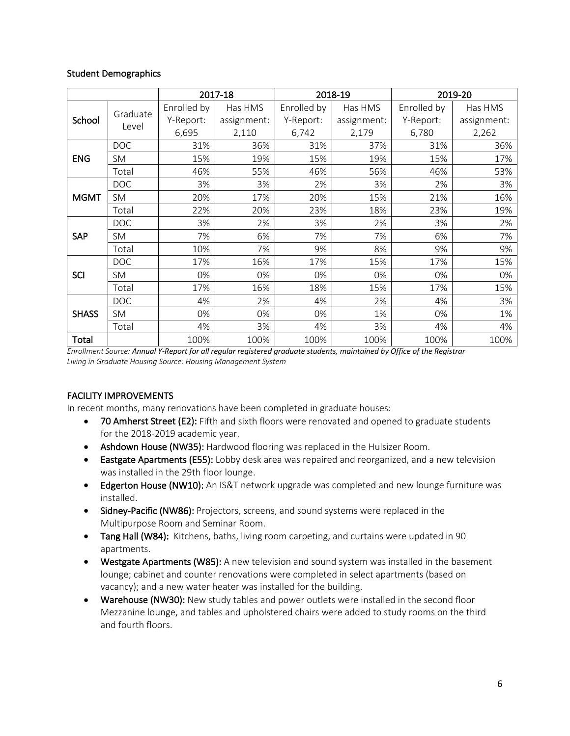#### Student Demographics

|              |                   | 2017-18     |             |             | 2018-19     | 2019-20     |             |  |
|--------------|-------------------|-------------|-------------|-------------|-------------|-------------|-------------|--|
| School       | Graduate<br>Level | Enrolled by | Has HMS     | Enrolled by | Has HMS     | Enrolled by | Has HMS     |  |
|              |                   | Y-Report:   | assignment: | Y-Report:   | assignment: | Y-Report:   | assignment: |  |
|              |                   | 6,695       | 2,110       | 6,742       | 2,179       | 6,780       | 2,262       |  |
| <b>ENG</b>   | <b>DOC</b>        | 31%         | 36%         | 31%         | 37%         | 31%         | 36%         |  |
|              | <b>SM</b>         | 15%         | 19%         | 15%         | 19%         | 15%         | 17%         |  |
|              | Total             | 46%         | 55%         | 46%         | 56%         | 46%         | 53%         |  |
| <b>MGMT</b>  | <b>DOC</b>        | 3%          | 3%          | 2%          | 3%          | 2%          | 3%          |  |
|              | SM                | 20%         | 17%         | 20%         | 15%         | 21%         | 16%         |  |
|              | Total             | 22%         | 20%         | 23%         | 18%         | 23%         | 19%         |  |
| SAP          | <b>DOC</b>        | 3%          | 2%          | 3%          | 2%          | 3%          | 2%          |  |
|              | <b>SM</b>         | 7%          | 6%          | 7%          | 7%          | 6%          | 7%          |  |
|              | Total             | 10%         | 7%          | 9%          | 8%          | 9%          | 9%          |  |
| <b>SCI</b>   | <b>DOC</b>        | 17%         | 16%         | 17%         | 15%         | 17%         | 15%         |  |
|              | <b>SM</b>         | 0%          | 0%          | 0%          | 0%          | 0%          | 0%          |  |
|              | Total             | 17%         | 16%         | 18%         | 15%         | 17%         | 15%         |  |
| <b>SHASS</b> | <b>DOC</b>        | 4%          | 2%          | 4%          | 2%          | 4%          | 3%          |  |
|              | SM                | 0%          | 0%          | 0%          | 1%          | 0%          | 1%          |  |
|              | Total             | 4%          | 3%          | 4%          | 3%          | 4%          | 4%          |  |
| Total        |                   | 100%        | 100%        | 100%        | 100%        | 100%        | 100%        |  |

*Enrollment Source: Annual Y-Report for all regular registered graduate students, maintained by Office of the Registrar Living in Graduate Housing Source: Housing Management System*

# FACILITY IMPROVEMENTS

In recent months, many renovations have been completed in graduate houses:

- 70 Amherst Street (E2): Fifth and sixth floors were renovated and opened to graduate students for the 2018-2019 academic year.
- Ashdown House (NW35): Hardwood flooring was replaced in the Hulsizer Room.
- Eastgate Apartments (E55): Lobby desk area was repaired and reorganized, and a new television was installed in the 29th floor lounge.
- Edgerton House (NW10): An IS&T network upgrade was completed and new lounge furniture was installed.
- Sidney-Pacific (NW86): Projectors, screens, and sound systems were replaced in the Multipurpose Room and Seminar Room.
- Tang Hall (W84): Kitchens, baths, living room carpeting, and curtains were updated in 90 apartments.
- Westgate Apartments (W85): A new television and sound system was installed in the basement lounge; cabinet and counter renovations were completed in select apartments (based on vacancy); and a new water heater was installed for the building.
- Warehouse (NW30): New study tables and power outlets were installed in the second floor Mezzanine lounge, and tables and upholstered chairs were added to study rooms on the third and fourth floors.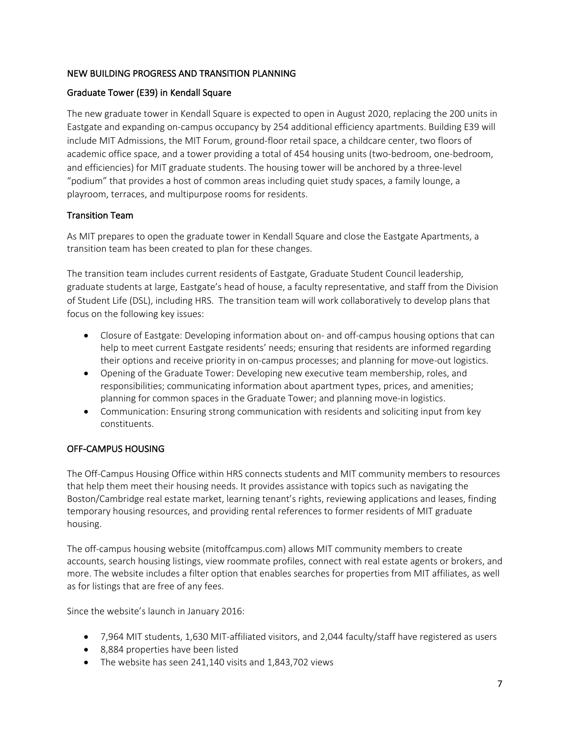# NEW BUILDING PROGRESS AND TRANSITION PLANNING

# Graduate Tower (E39) in Kendall Square

The new graduate tower in Kendall Square is expected to open in August 2020, replacing the 200 units in Eastgate and expanding on-campus occupancy by 254 additional efficiency apartments. Building E39 will include MIT Admissions, the MIT Forum, ground-floor retail space, a childcare center, two floors of academic office space, and a tower providing a total of 454 housing units (two-bedroom, one-bedroom, and efficiencies) for MIT graduate students. The housing tower will be anchored by a three-level "podium" that provides a host of common areas including quiet study spaces, a family lounge, a playroom, terraces, and multipurpose rooms for residents.

# Transition Team

As MIT prepares to open the graduate tower in Kendall Square and close the Eastgate Apartments, a transition team has been created to plan for these changes.

The transition team includes current residents of Eastgate, Graduate Student Council leadership, graduate students at large, Eastgate's head of house, a faculty representative, and staff from the Division of Student Life (DSL), including HRS. The transition team will work collaboratively to develop plans that focus on the following key issues:

- Closure of Eastgate: Developing information about on- and off-campus housing options that can help to meet current Eastgate residents' needs; ensuring that residents are informed regarding their options and receive priority in on-campus processes; and planning for move-out logistics.
- Opening of the Graduate Tower: Developing new executive team membership, roles, and responsibilities; communicating information about apartment types, prices, and amenities; planning for common spaces in the Graduate Tower; and planning move-in logistics.
- Communication: Ensuring strong communication with residents and soliciting input from key constituents.

# OFF-CAMPUS HOUSING

The Off-Campus Housing Office within HRS connects students and MIT community members to resources that help them meet their housing needs. It provides assistance with topics such as navigating the Boston/Cambridge real estate market, learning tenant's rights, reviewing applications and leases, finding temporary housing resources, and providing rental references to former residents of MIT graduate housing.

The off-campus housing website (mitoffcampus.com) allows MIT community members to create accounts, search housing listings, view roommate profiles, connect with real estate agents or brokers, and more. The website includes a filter option that enables searches for properties from MIT affiliates, as well as for listings that are free of any fees.

Since the website's launch in January 2016:

- 7,964 MIT students, 1,630 MIT-affiliated visitors, and 2,044 faculty/staff have registered as users
- 8,884 properties have been listed
- The website has seen 241,140 visits and 1,843,702 views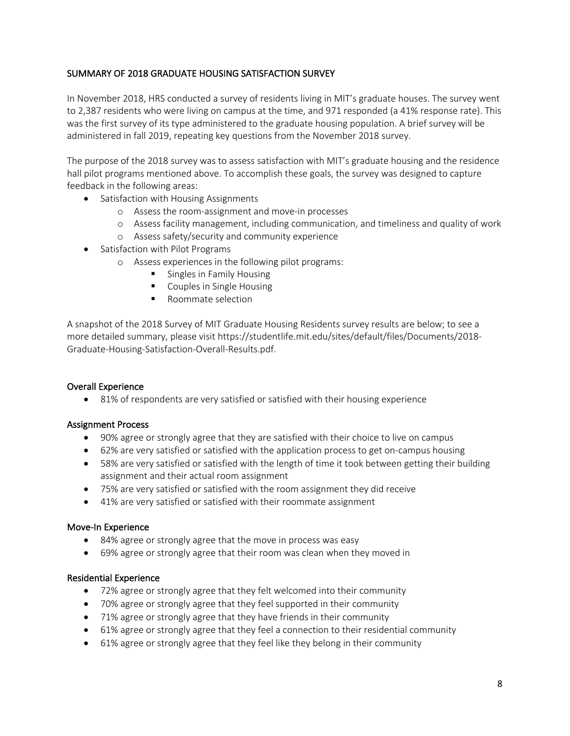# SUMMARY OF 2018 GRADUATE HOUSING SATISFACTION SURVEY

In November 2018, HRS conducted a survey of residents living in MIT's graduate houses. The survey went to 2,387 residents who were living on campus at the time, and 971 responded (a 41% response rate). This was the first survey of its type administered to the graduate housing population. A brief survey will be administered in fall 2019, repeating key questions from the November 2018 survey.

The purpose of the 2018 survey was to assess satisfaction with MIT's graduate housing and the residence hall pilot programs mentioned above. To accomplish these goals, the survey was designed to capture feedback in the following areas:

- Satisfaction with Housing Assignments
	- o Assess the room-assignment and move-in processes
	- o Assess facility management, including communication, and timeliness and quality of work
	- o Assess safety/security and community experience
- Satisfaction with Pilot Programs
	- o Assess experiences in the following pilot programs:
		- Singles in Family Housing
		- Couples in Single Housing
		- Roommate selection

A snapshot of the 2018 Survey of MIT Graduate Housing Residents survey results are below; to see a more detailed summary, please visit https://studentlife.mit.edu/sites/default/files/Documents/2018- Graduate-Housing-Satisfaction-Overall-Results.pdf.

#### Overall Experience

• 81% of respondents are very satisfied or satisfied with their housing experience

#### Assignment Process

- 90% agree or strongly agree that they are satisfied with their choice to live on campus
- 62% are very satisfied or satisfied with the application process to get on-campus housing
- 58% are very satisfied or satisfied with the length of time it took between getting their building assignment and their actual room assignment
- 75% are very satisfied or satisfied with the room assignment they did receive
- 41% are very satisfied or satisfied with their roommate assignment

#### Move-In Experience

- 84% agree or strongly agree that the move in process was easy
- 69% agree or strongly agree that their room was clean when they moved in

#### Residential Experience

- 72% agree or strongly agree that they felt welcomed into their community
- 70% agree or strongly agree that they feel supported in their community
- 71% agree or strongly agree that they have friends in their community
- 61% agree or strongly agree that they feel a connection to their residential community
- 61% agree or strongly agree that they feel like they belong in their community